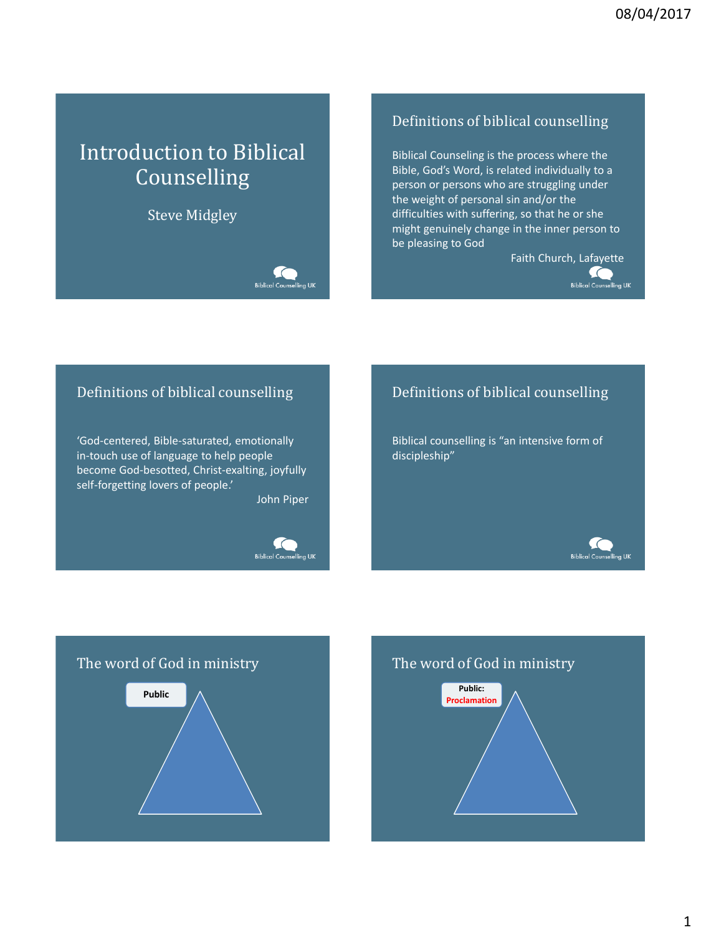# Introduction to Biblical **Counselling**

# Steve Midgley

**Biblical Count** 

### Definitions of biblical counselling

Biblical Counseling is the process where the Bible, God's Word, is related individually to a person or persons who are struggling under the weight of personal sin and/or the difficulties with suffering, so that he or she might genuinely change in the inner person to be pleasing to God

> Faith Church, Lafayette  $\subset$ **Biblical Counselling UK**

### Definitions of biblical counselling

'God-centered, Bible-saturated, emotionally in-touch use of language to help people become God-besotted, Christ-exalting, joyfully self-forgetting lovers of people.'

John Piper



# Definitions of biblical counselling

Biblical counselling is "an intensive form of discipleship"







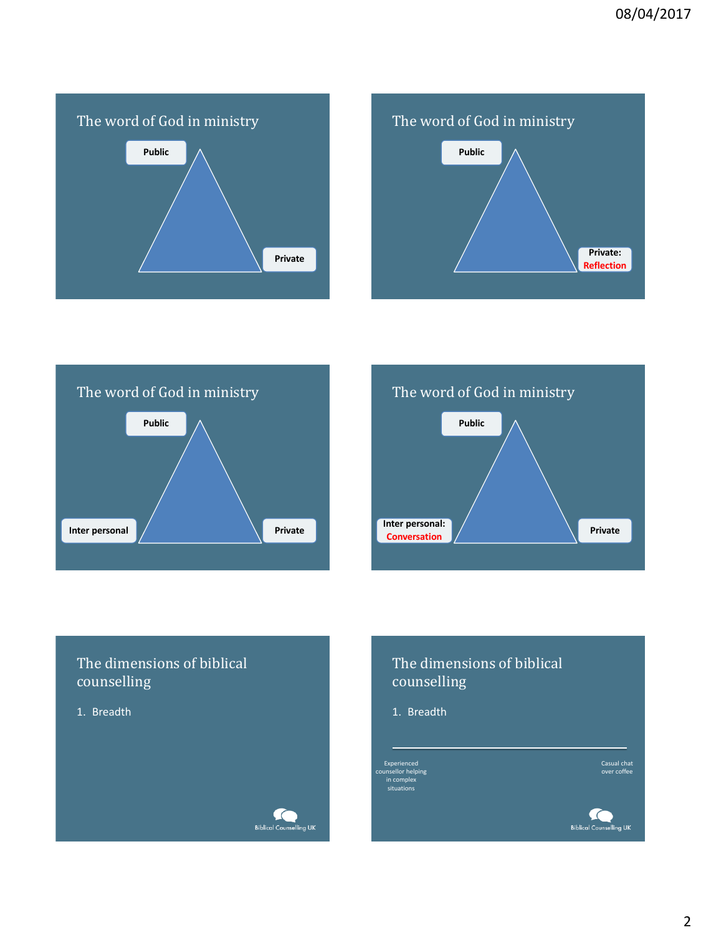







# The dimensions of biblical counselling

1. Breadth



# The dimensions of biblical counselling

1. Breadth

Experienced counsellor helping in complex situations

Casual chat over coffee

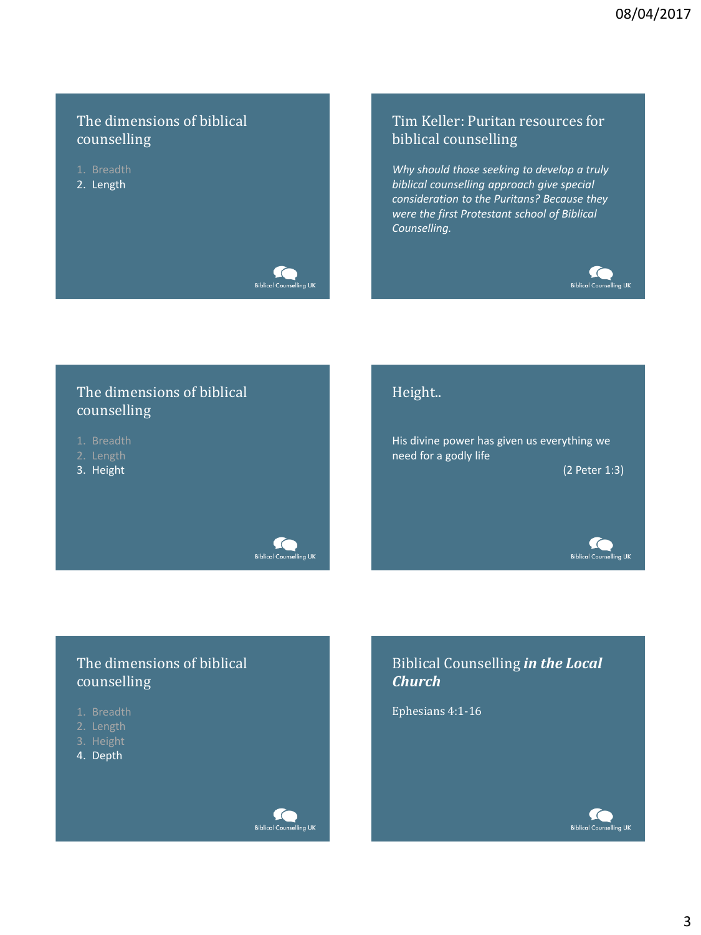# The dimensions of biblical counselling

- 
- 2. Length



### Tim Keller: Puritan resources for biblical counselling

*Why should those seeking to develop a truly biblical counselling approach give special consideration to the Puritans? Because they were the first Protestant school of Biblical Counselling.* 



# The dimensions of biblical counselling

The dimensions of biblical

- 
- 
- 3. Height



His divine power has given us everything we need for a godly life

(2 Peter 1:3)

**Biblical Counselling UK** 



# Biblical Counselling *in the Local Church*

Ephesians 4:1-16

counselling

- 
- 
- 4. Depth



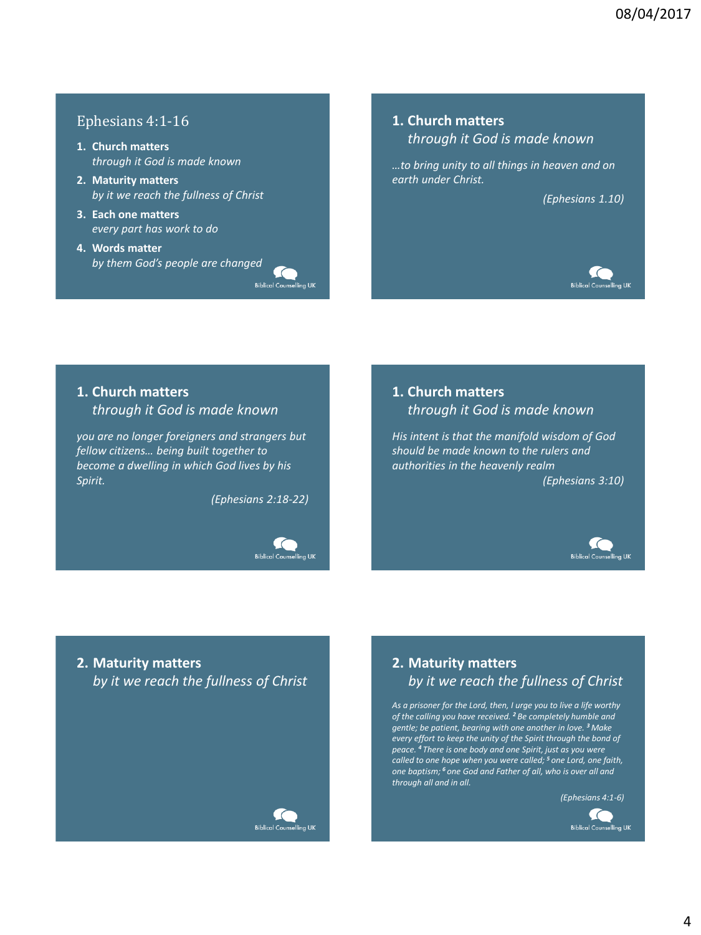### Ephesians 4:1-16

- **1. Church matters** *through it God is made known*
- **2. Maturity matters** *by it we reach the fullness of Christ*
- **3. Each one matters** *every part has work to do*
- **4. Words matter** *by them God's people are changed*

 $\epsilon$ Biblical Counselling UK

#### **1. Church matters** *through it God is made known*

*…to bring unity to all things in heaven and on earth under Christ.* 

*(Ephesians 1.10)*



### **1. Church matters** *through it God is made known*

*you are no longer foreigners and strangers but fellow citizens… being built together to become a dwelling in which God lives by his Spirit.* 

*(Ephesians 2:18-22)*



### **1. Church matters** *through it God is made known*

*His intent is that the manifold wisdom of God should be made known to the rulers and authorities in the heavenly realm (Ephesians 3:10)*



# **2. Maturity matters** *by it we reach the fullness of Christ*



## **2. Maturity matters** *by it we reach the fullness of Christ*

*As a prisoner for the Lord, then, I urge you to live a life worthy of the calling you have received. <sup>2</sup> Be completely humble and gentle; be patient, bearing with one another in love. <sup>3</sup> Make every effort to keep the unity of the Spirit through the bond of peace. <sup>4</sup> There is one body and one Spirit, just as you were called to one hope when you were called; <sup>5</sup> one Lord, one faith, one baptism; <sup>6</sup> one God and Father of all, who is over all and through all and in all.* 

*(Ephesians 4:1-6)*

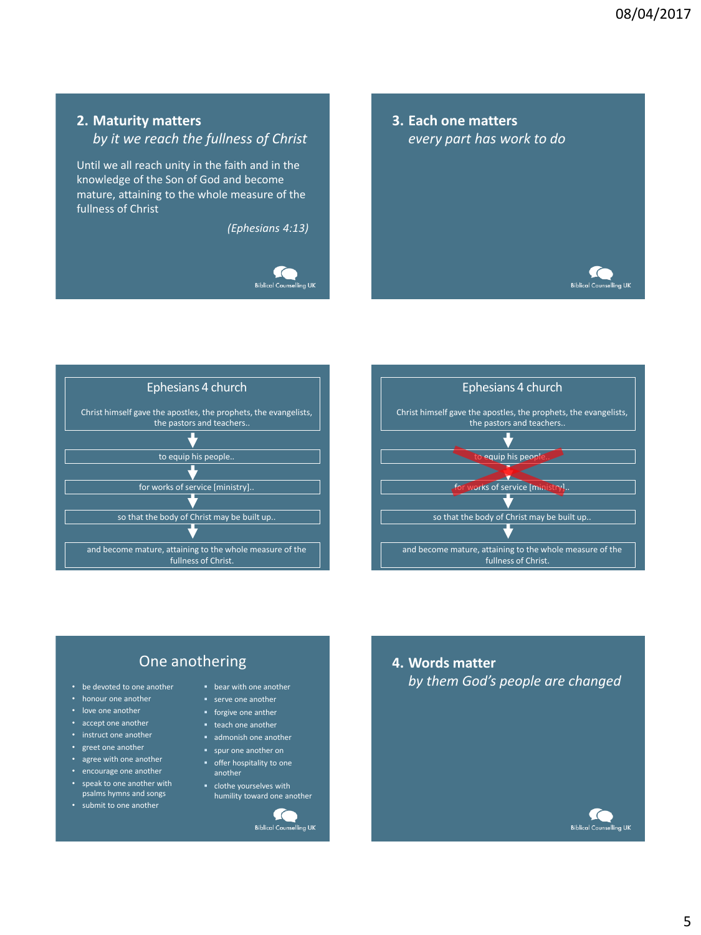### **2. Maturity matters**

*by it we reach the fullness of Christ*

Until we all reach unity in the faith and in the knowledge of the Son of God and become mature, attaining to the whole measure of the fullness of Christ

*(Ephesians 4:13)*



**3. Each one matters** *every part has work to do*







# One anothering

- be devoted to one another
- honour one another
- love one another
- accept one another
- instruct one another
- greet one another
- agree with one another
- encourage one another • speak to one another with
- psalms hymns and songs
- submit to one another

**bear with one another** 

- **serve one another**
- **forgive one anther**
- **teach one another**
- admonish one another
- spur one another on
- **•** offer hospitality to one another
- clothe yourselves with humility toward one another

 $\subset$ **Biblical Counselling UK**  **4. Words matter** *by them God's people are changed*